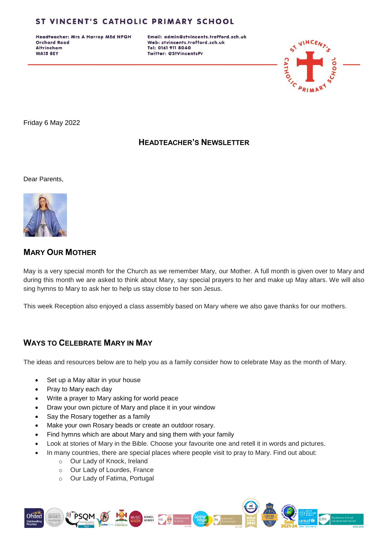Headteacher: Mrs A Harrop MEd NPQH **Orchard Road Altrincham WA15 8EY** 

Email: admin@stvincents.trafford.sch.uk Web: stvincents.trafford.sch.uk Tel: 0161 911 8040 Twitter: @StVincentsPr



Friday 6 May 2022

#### **HEADTEACHER'S NEWSLETTER**

Dear Parents,



### **MARY OUR MOTHER**

May is a very special month for the Church as we remember Mary, our Mother. A full month is given over to Mary and during this month we are asked to think about Mary, say special prayers to her and make up May altars. We will also sing hymns to Mary to ask her to help us stay close to her son Jesus.

This week Reception also enjoyed a class assembly based on Mary where we also gave thanks for our mothers.

## **WAYS TO CELEBRATE MARY IN MAY**

The ideas and resources below are to help you as a family consider how to celebrate May as the month of Mary.

- Set up a May altar in your house
- Pray to Mary each day
- Write a prayer to Mary asking for world peace
- Draw your own picture of Mary and place it in your window
- Say the Rosary together as a family
- Make your own Rosary beads or create an outdoor rosary.
- Find hymns which are about Mary and sing them with your family
- Look at stories of Mary in the Bible. Choose your favourite one and retell it in words and pictures.
- In many countries, there are special places where people visit to pray to Mary. Find out about:
	- o Our Lady of Knock, Ireland
	- o Our Lady of Lourdes, France
	- o Our Lady of Fatima, Portugal

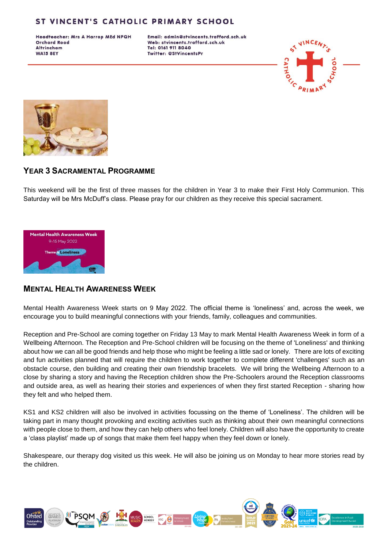Headteacher: Mrs A Harrop MEd NPQH **Orchard Road Altrincham WA15 8EY** 

Email: admin@stvincents.trafford.sch.uk Web: stvincents.trafford.sch.uk Tel: 0161 911 8040 Twitter: @StVincentsPr





### **YEAR 3 SACRAMENTAL PROGRAMME**

This weekend will be the first of three masses for the children in Year 3 to make their First Holy Communion. This Saturday will be Mrs McDuff's class. Please pray for our children as they receive this special sacrament.



#### **MENTAL HEALTH AWARENESS WEEK**

Mental Health Awareness Week starts on 9 May 2022. The official theme is 'loneliness' and, across the week, we encourage you to build meaningful connections with your friends, family, colleagues and communities.

Reception and Pre-School are coming together on Friday 13 May to mark Mental Health Awareness Week in form of a Wellbeing Afternoon. The Reception and Pre-School children will be focusing on the theme of 'Loneliness' and thinking about how we can all be good friends and help those who might be feeling a little sad or lonely. There are lots of exciting and fun activities planned that will require the children to work together to complete different 'challenges' such as an obstacle course, den building and creating their own friendship bracelets. We will bring the Wellbeing Afternoon to a close by sharing a story and having the Reception children show the Pre-Schoolers around the Reception classrooms and outside area, as well as hearing their stories and experiences of when they first started Reception - sharing how they felt and who helped them.

KS1 and KS2 children will also be involved in activities focussing on the theme of 'Loneliness'. The children will be taking part in many thought provoking and exciting activities such as thinking about their own meaningful connections with people close to them, and how they can help others who feel lonely. Children will also have the opportunity to create a 'class playlist' made up of songs that make them feel happy when they feel down or lonely.

Shakespeare, our therapy dog visited us this week. He will also be joining us on Monday to hear more stories read by the children.

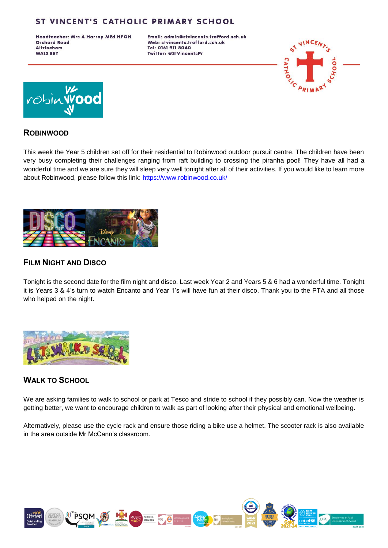Headteacher: Mrs A Harrop MEd NPQH **Orchard Road Altrincham WA15 8EY** 

Email: admin@stvincents.trafford.sch.uk Web: stvincents.trafford.sch.uk Tel: 0161 911 8040 Twitter: @StVincentsPr





#### **ROBINWOOD**

This week the Year 5 children set off for their residential to Robinwood outdoor pursuit centre. The children have been very busy completing their challenges ranging from raft building to crossing the piranha pool! They have all had a wonderful time and we are sure they will sleep very well tonight after all of their activities. If you would like to learn more about Robinwood, please follow this link:<https://www.robinwood.co.uk/>



### **FILM NIGHT AND DISCO**

Tonight is the second date for the film night and disco. Last week Year 2 and Years 5 & 6 had a wonderful time. Tonight it is Years 3 & 4's turn to watch Encanto and Year 1's will have fun at their disco. Thank you to the PTA and all those who helped on the night.



#### **WALK TO SCHOOL**

We are asking families to walk to school or park at Tesco and stride to school if they possibly can. Now the weather is getting better, we want to encourage children to walk as part of looking after their physical and emotional wellbeing.

Alternatively, please use the cycle rack and ensure those riding a bike use a helmet. The scooter rack is also available in the area outside Mr McCann's classroom.

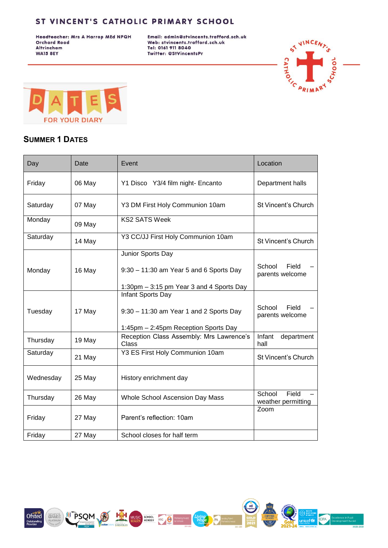Headteacher: Mrs A Harrop MEd NPQH **Orchard Road** Altrincham **WA15 8EY** 

Email: admin@stvincents.trafford.sch.uk Web: stvincents.trafford.sch.uk Tel: 0161 911 8040 Twitter: @StVincentsPr





### **SUMMER 1 DATES**

| Day       | Date   | Event                                                                                                         | Location                              |
|-----------|--------|---------------------------------------------------------------------------------------------------------------|---------------------------------------|
| Friday    | 06 May | Y1 Disco Y3/4 film night- Encanto                                                                             | Department halls                      |
| Saturday  | 07 May | Y3 DM First Holy Communion 10am                                                                               | St Vincent's Church                   |
| Monday    | 09 May | <b>KS2 SATS Week</b>                                                                                          |                                       |
| Saturday  | 14 May | Y3 CC/JJ First Holy Communion 10am                                                                            | St Vincent's Church                   |
| Monday    | 16 May | Junior Sports Day<br>$9:30 - 11:30$ am Year 5 and 6 Sports Day<br>1:30pm - 3:15 pm Year 3 and 4 Sports Day    | School<br>Field<br>parents welcome    |
| Tuesday   | 17 May | <b>Infant Sports Day</b><br>$9:30 - 11:30$ am Year 1 and 2 Sports Day<br>1:45pm - 2:45pm Reception Sports Day | School<br>Field<br>parents welcome    |
| Thursday  | 19 May | Reception Class Assembly: Mrs Lawrence's<br>Class                                                             | Infant<br>department<br>hall          |
| Saturday  | 21 May | Y3 ES First Holy Communion 10am                                                                               | St Vincent's Church                   |
| Wednesday | 25 May | History enrichment day                                                                                        |                                       |
| Thursday  | 26 May | Whole School Ascension Day Mass                                                                               | School<br>Field<br>weather permitting |
| Friday    | 27 May | Parent's reflection: 10am                                                                                     | Zoom                                  |
| Friday    | 27 May | School closes for half term                                                                                   |                                       |